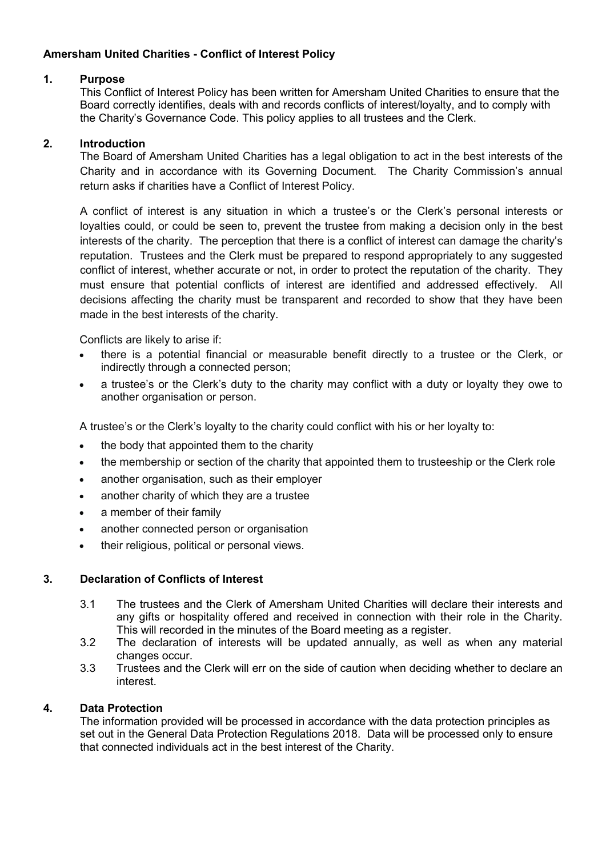# Amersham United Charities - Conflict of Interest Policy

## 1. Purpose

This Conflict of Interest Policy has been written for Amersham United Charities to ensure that the Board correctly identifies, deals with and records conflicts of interest/loyalty, and to comply with the Charity's Governance Code. This policy applies to all trustees and the Clerk.

## 2. Introduction

The Board of Amersham United Charities has a legal obligation to act in the best interests of the Charity and in accordance with its Governing Document. The Charity Commission's annual return asks if charities have a Conflict of Interest Policy.

A conflict of interest is any situation in which a trustee's or the Clerk's personal interests or loyalties could, or could be seen to, prevent the trustee from making a decision only in the best interests of the charity. The perception that there is a conflict of interest can damage the charity's reputation. Trustees and the Clerk must be prepared to respond appropriately to any suggested conflict of interest, whether accurate or not, in order to protect the reputation of the charity. They must ensure that potential conflicts of interest are identified and addressed effectively. All decisions affecting the charity must be transparent and recorded to show that they have been made in the best interests of the charity.

Conflicts are likely to arise if:

- there is a potential financial or measurable benefit directly to a trustee or the Clerk, or indirectly through a connected person;
- a trustee's or the Clerk's duty to the charity may conflict with a duty or loyalty they owe to another organisation or person.

A trustee's or the Clerk's loyalty to the charity could conflict with his or her loyalty to:

- the body that appointed them to the charity
- the membership or section of the charity that appointed them to trusteeship or the Clerk role
- another organisation, such as their employer
- another charity of which they are a trustee
- a member of their family
- another connected person or organisation
- their religious, political or personal views.

### 3. Declaration of Conflicts of Interest

- 3.1 The trustees and the Clerk of Amersham United Charities will declare their interests and any gifts or hospitality offered and received in connection with their role in the Charity. This will recorded in the minutes of the Board meeting as a register.
- 3.2 The declaration of interests will be updated annually, as well as when any material changes occur.
- 3.3 Trustees and the Clerk will err on the side of caution when deciding whether to declare an interest.

### 4. Data Protection

The information provided will be processed in accordance with the data protection principles as set out in the General Data Protection Regulations 2018. Data will be processed only to ensure that connected individuals act in the best interest of the Charity.